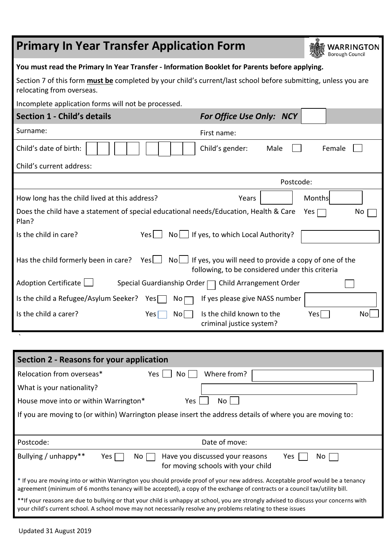| <b>Primary In Year Transfer Application Form</b>                                                                                                   |              |                                                                                                                      |           | <b>WARRINGTON</b><br>Borough Council |  |
|----------------------------------------------------------------------------------------------------------------------------------------------------|--------------|----------------------------------------------------------------------------------------------------------------------|-----------|--------------------------------------|--|
| You must read the Primary In Year Transfer - Information Booklet for Parents before applying.                                                      |              |                                                                                                                      |           |                                      |  |
| Section 7 of this form <b>must be</b> completed by your child's current/last school before submitting, unless you are<br>relocating from overseas. |              |                                                                                                                      |           |                                      |  |
| Incomplete application forms will not be processed.                                                                                                |              |                                                                                                                      |           |                                      |  |
| <b>Section 1 - Child's details</b>                                                                                                                 |              | <b>For Office Use Only: NCY</b>                                                                                      |           |                                      |  |
| Surname:                                                                                                                                           |              | First name:                                                                                                          |           |                                      |  |
| Child's date of birth:                                                                                                                             |              | Child's gender:<br>Male                                                                                              |           | Female                               |  |
| Child's current address:                                                                                                                           |              |                                                                                                                      |           |                                      |  |
|                                                                                                                                                    |              |                                                                                                                      | Postcode: |                                      |  |
| How long has the child lived at this address?                                                                                                      |              | Years                                                                                                                |           | Months                               |  |
| Does the child have a statement of special educational needs/Education, Health & Care<br>Plan?                                                     |              |                                                                                                                      |           | Yes [<br>No                          |  |
| Is the child in care?                                                                                                                              | $Yes$        | $No \cup$ If yes, to which Local Authority?                                                                          |           |                                      |  |
| Has the child formerly been in care?                                                                                                               | $Yes$ $\Box$ | $\text{No}$ If yes, you will need to provide a copy of one of the<br>following, to be considered under this criteria |           |                                      |  |
| Adoption Certificate                                                                                                                               |              | Special Guardianship Order □ Child Arrangement Order                                                                 |           |                                      |  |
| Is the child a Refugee/Asylum Seeker? Yes                                                                                                          | $No \sqcap$  | If yes please give NASS number                                                                                       |           |                                      |  |
| Is the child a carer?                                                                                                                              | No<br>Yes    | Is the child known to the<br>criminal justice system?                                                                |           | Yes<br>Nol                           |  |
|                                                                                                                                                    |              |                                                                                                                      |           |                                      |  |

| Section 2 - Reasons for your application                                                                                                                                                                                                                        |  |  |  |  |
|-----------------------------------------------------------------------------------------------------------------------------------------------------------------------------------------------------------------------------------------------------------------|--|--|--|--|
| Relocation from overseas*<br>Where from?<br>Yes  <br>No l                                                                                                                                                                                                       |  |  |  |  |
| What is your nationality?                                                                                                                                                                                                                                       |  |  |  |  |
| House move into or within Warrington*<br>Yes.<br>No l                                                                                                                                                                                                           |  |  |  |  |
| If you are moving to (or within) Warrington please insert the address details of where you are moving to:                                                                                                                                                       |  |  |  |  |
|                                                                                                                                                                                                                                                                 |  |  |  |  |
|                                                                                                                                                                                                                                                                 |  |  |  |  |
| Date of move:<br>Postcode:                                                                                                                                                                                                                                      |  |  |  |  |
| Bullying / unhappy**<br>Have you discussed your reasons<br>No I<br>Yes<br>Yes<br>No.<br>for moving schools with your child                                                                                                                                      |  |  |  |  |
| * If you are moving into or within Warrington you should provide proof of your new address. Acceptable proof would be a tenancy<br>agreement (minimum of 6 months tenancy will be accepted), a copy of the exchange of contracts or a council tax/utility bill. |  |  |  |  |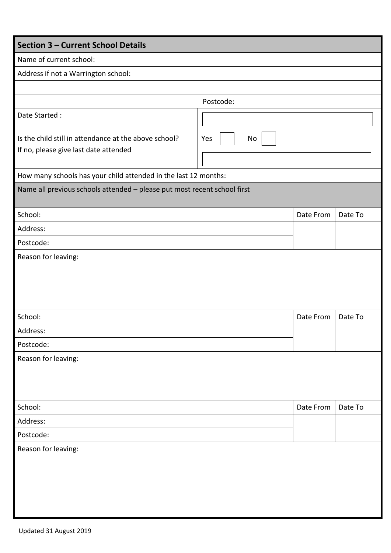| <b>Section 3 - Current School Details</b>                                                      |           |           |         |
|------------------------------------------------------------------------------------------------|-----------|-----------|---------|
| Name of current school:                                                                        |           |           |         |
| Address if not a Warrington school:                                                            |           |           |         |
|                                                                                                |           |           |         |
|                                                                                                | Postcode: |           |         |
| Date Started:                                                                                  |           |           |         |
| Is the child still in attendance at the above school?<br>If no, please give last date attended | Yes<br>No |           |         |
| How many schools has your child attended in the last 12 months:                                |           |           |         |
| Name all previous schools attended - please put most recent school first                       |           |           |         |
| School:                                                                                        |           | Date From | Date To |
| Address:                                                                                       |           |           |         |
| Postcode:                                                                                      |           |           |         |
|                                                                                                |           |           |         |
| School:                                                                                        |           | Date From | Date To |
| Address:                                                                                       |           |           |         |
| Postcode:                                                                                      |           |           |         |
| Reason for leaving:                                                                            |           |           |         |
| School:                                                                                        |           | Date From | Date To |
| Address:                                                                                       |           |           |         |
| Postcode:                                                                                      |           |           |         |
| Reason for leaving:                                                                            |           |           |         |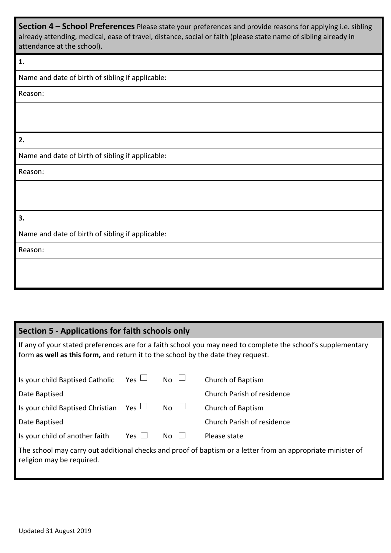**Section 4 – School Preferences** Please state your preferences and provide reasons for applying i.e. sibling already attending, medical, ease of travel, distance, social or faith (please state name of sibling already in attendance at the school).

## **1.**

Name and date of birth of sibling if applicable:

Reason:

**2.**

Name and date of birth of sibling if applicable:

Reason:

## **3.**

Name and date of birth of sibling if applicable:

Reason:

# **Section 5 - Applications for faith schools only**

If any of your stated preferences are for a faith school you may need to complete the school's supplementary form **as well as this form,** and return it to the school by the date they request.

| Is your child Baptised Catholic                                                                                                          | $Yes \Box$ | $_{\text{No}}$ $\sqcup$ | Church of Baptism          |  |
|------------------------------------------------------------------------------------------------------------------------------------------|------------|-------------------------|----------------------------|--|
| Date Baptised                                                                                                                            |            |                         | Church Parish of residence |  |
| Is your child Baptised Christian                                                                                                         | Yes $\Box$ | $No$ $\Box$             | Church of Baptism          |  |
| Date Baptised                                                                                                                            |            |                         | Church Parish of residence |  |
| Is your child of another faith                                                                                                           | Yes $\Box$ | $No \quad \Box$         | Please state               |  |
| The school may carry out additional checks and proof of baptism or a letter from an appropriate minister of<br>religion may be required. |            |                         |                            |  |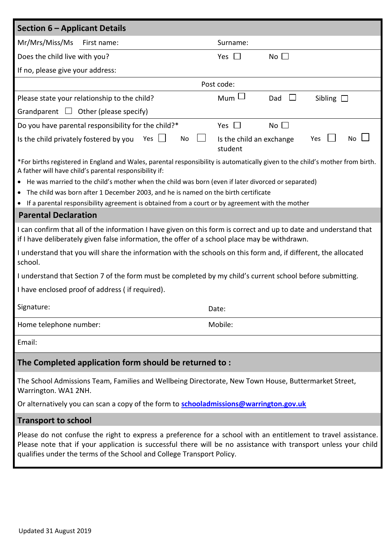| Mr/Mrs/Miss/Ms<br>First name:<br>Surname:<br>Does the child live with you?<br>No $\square$<br>Yes $\Box$<br>If no, please give your address:<br>Post code:<br>$Mum$ $\Box$<br>Please state your relationship to the child?<br>Sibling $\square$<br>Dad<br>Grandparent $\Box$ Other (please specify)<br>No $\square$<br>Do you have parental responsibility for the child?*<br>Yes $\Box$<br>No<br>No<br>Is the child privately fostered by you<br>Yes<br>Is the child an exchange<br>Yes<br>student<br>*For births registered in England and Wales, parental responsibility is automatically given to the child's mother from birth.<br>A father will have child's parental responsibility if:<br>• He was married to the child's mother when the child was born (even if later divorced or separated)<br>• The child was born after 1 December 2003, and he is named on the birth certificate<br>• If a parental responsibility agreement is obtained from a court or by agreement with the mother<br><b>Parental Declaration</b><br>I can confirm that all of the information I have given on this form is correct and up to date and understand that<br>if I have deliberately given false information, the offer of a school place may be withdrawn.<br>I understand that you will share the information with the schools on this form and, if different, the allocated<br>school.<br>I understand that Section 7 of the form must be completed by my child's current school before submitting.<br>I have enclosed proof of address (if required).<br>Signature:<br>Date:<br>Mobile:<br>Home telephone number: |  |  |  |  |  |
|--------------------------------------------------------------------------------------------------------------------------------------------------------------------------------------------------------------------------------------------------------------------------------------------------------------------------------------------------------------------------------------------------------------------------------------------------------------------------------------------------------------------------------------------------------------------------------------------------------------------------------------------------------------------------------------------------------------------------------------------------------------------------------------------------------------------------------------------------------------------------------------------------------------------------------------------------------------------------------------------------------------------------------------------------------------------------------------------------------------------------------------------------------------------------------------------------------------------------------------------------------------------------------------------------------------------------------------------------------------------------------------------------------------------------------------------------------------------------------------------------------------------------------------------------------------------------------------------------------------------|--|--|--|--|--|
|                                                                                                                                                                                                                                                                                                                                                                                                                                                                                                                                                                                                                                                                                                                                                                                                                                                                                                                                                                                                                                                                                                                                                                                                                                                                                                                                                                                                                                                                                                                                                                                                                    |  |  |  |  |  |
|                                                                                                                                                                                                                                                                                                                                                                                                                                                                                                                                                                                                                                                                                                                                                                                                                                                                                                                                                                                                                                                                                                                                                                                                                                                                                                                                                                                                                                                                                                                                                                                                                    |  |  |  |  |  |
|                                                                                                                                                                                                                                                                                                                                                                                                                                                                                                                                                                                                                                                                                                                                                                                                                                                                                                                                                                                                                                                                                                                                                                                                                                                                                                                                                                                                                                                                                                                                                                                                                    |  |  |  |  |  |
|                                                                                                                                                                                                                                                                                                                                                                                                                                                                                                                                                                                                                                                                                                                                                                                                                                                                                                                                                                                                                                                                                                                                                                                                                                                                                                                                                                                                                                                                                                                                                                                                                    |  |  |  |  |  |
|                                                                                                                                                                                                                                                                                                                                                                                                                                                                                                                                                                                                                                                                                                                                                                                                                                                                                                                                                                                                                                                                                                                                                                                                                                                                                                                                                                                                                                                                                                                                                                                                                    |  |  |  |  |  |
|                                                                                                                                                                                                                                                                                                                                                                                                                                                                                                                                                                                                                                                                                                                                                                                                                                                                                                                                                                                                                                                                                                                                                                                                                                                                                                                                                                                                                                                                                                                                                                                                                    |  |  |  |  |  |
|                                                                                                                                                                                                                                                                                                                                                                                                                                                                                                                                                                                                                                                                                                                                                                                                                                                                                                                                                                                                                                                                                                                                                                                                                                                                                                                                                                                                                                                                                                                                                                                                                    |  |  |  |  |  |
|                                                                                                                                                                                                                                                                                                                                                                                                                                                                                                                                                                                                                                                                                                                                                                                                                                                                                                                                                                                                                                                                                                                                                                                                                                                                                                                                                                                                                                                                                                                                                                                                                    |  |  |  |  |  |
|                                                                                                                                                                                                                                                                                                                                                                                                                                                                                                                                                                                                                                                                                                                                                                                                                                                                                                                                                                                                                                                                                                                                                                                                                                                                                                                                                                                                                                                                                                                                                                                                                    |  |  |  |  |  |
|                                                                                                                                                                                                                                                                                                                                                                                                                                                                                                                                                                                                                                                                                                                                                                                                                                                                                                                                                                                                                                                                                                                                                                                                                                                                                                                                                                                                                                                                                                                                                                                                                    |  |  |  |  |  |
|                                                                                                                                                                                                                                                                                                                                                                                                                                                                                                                                                                                                                                                                                                                                                                                                                                                                                                                                                                                                                                                                                                                                                                                                                                                                                                                                                                                                                                                                                                                                                                                                                    |  |  |  |  |  |
|                                                                                                                                                                                                                                                                                                                                                                                                                                                                                                                                                                                                                                                                                                                                                                                                                                                                                                                                                                                                                                                                                                                                                                                                                                                                                                                                                                                                                                                                                                                                                                                                                    |  |  |  |  |  |
|                                                                                                                                                                                                                                                                                                                                                                                                                                                                                                                                                                                                                                                                                                                                                                                                                                                                                                                                                                                                                                                                                                                                                                                                                                                                                                                                                                                                                                                                                                                                                                                                                    |  |  |  |  |  |
|                                                                                                                                                                                                                                                                                                                                                                                                                                                                                                                                                                                                                                                                                                                                                                                                                                                                                                                                                                                                                                                                                                                                                                                                                                                                                                                                                                                                                                                                                                                                                                                                                    |  |  |  |  |  |
|                                                                                                                                                                                                                                                                                                                                                                                                                                                                                                                                                                                                                                                                                                                                                                                                                                                                                                                                                                                                                                                                                                                                                                                                                                                                                                                                                                                                                                                                                                                                                                                                                    |  |  |  |  |  |
|                                                                                                                                                                                                                                                                                                                                                                                                                                                                                                                                                                                                                                                                                                                                                                                                                                                                                                                                                                                                                                                                                                                                                                                                                                                                                                                                                                                                                                                                                                                                                                                                                    |  |  |  |  |  |
|                                                                                                                                                                                                                                                                                                                                                                                                                                                                                                                                                                                                                                                                                                                                                                                                                                                                                                                                                                                                                                                                                                                                                                                                                                                                                                                                                                                                                                                                                                                                                                                                                    |  |  |  |  |  |
| Email:                                                                                                                                                                                                                                                                                                                                                                                                                                                                                                                                                                                                                                                                                                                                                                                                                                                                                                                                                                                                                                                                                                                                                                                                                                                                                                                                                                                                                                                                                                                                                                                                             |  |  |  |  |  |
| The Completed application form should be returned to:                                                                                                                                                                                                                                                                                                                                                                                                                                                                                                                                                                                                                                                                                                                                                                                                                                                                                                                                                                                                                                                                                                                                                                                                                                                                                                                                                                                                                                                                                                                                                              |  |  |  |  |  |
| The School Admissions Team, Families and Wellbeing Directorate, New Town House, Buttermarket Street,<br>Warrington. WA1 2NH.                                                                                                                                                                                                                                                                                                                                                                                                                                                                                                                                                                                                                                                                                                                                                                                                                                                                                                                                                                                                                                                                                                                                                                                                                                                                                                                                                                                                                                                                                       |  |  |  |  |  |
| Or alternatively you can scan a copy of the form to <b>schooladmissions@warrington.gov.uk</b>                                                                                                                                                                                                                                                                                                                                                                                                                                                                                                                                                                                                                                                                                                                                                                                                                                                                                                                                                                                                                                                                                                                                                                                                                                                                                                                                                                                                                                                                                                                      |  |  |  |  |  |
| <b>Transport to school</b>                                                                                                                                                                                                                                                                                                                                                                                                                                                                                                                                                                                                                                                                                                                                                                                                                                                                                                                                                                                                                                                                                                                                                                                                                                                                                                                                                                                                                                                                                                                                                                                         |  |  |  |  |  |
| Please do not confuse the right to express a preference for a school with an entitlement to travel assistance.<br>Please note that if your application is successful there will be no assistance with transport unless your child<br>qualifies under the terms of the School and College Transport Policy.                                                                                                                                                                                                                                                                                                                                                                                                                                                                                                                                                                                                                                                                                                                                                                                                                                                                                                                                                                                                                                                                                                                                                                                                                                                                                                         |  |  |  |  |  |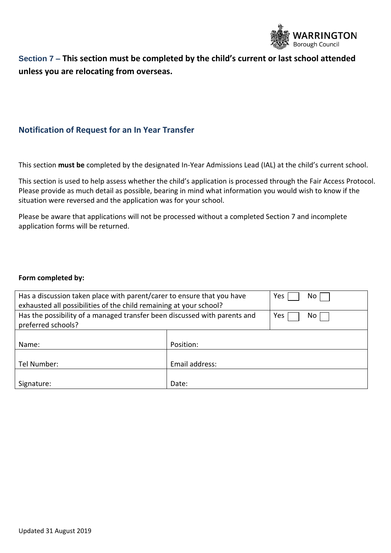

# **Section 7 – This section must be completed by the child's current or last school attended unless you are relocating from overseas.**

## **Notification of Request for an In Year Transfer**

This section **must be** completed by the designated In-Year Admissions Lead (IAL) at the child's current school.

This section is used to help assess whether the child's application is processed through the Fair Access Protocol. Please provide as much detail as possible, bearing in mind what information you would wish to know if the situation were reversed and the application was for your school.

Please be aware that applications will not be processed without a completed Section 7 and incomplete application forms will be returned.

#### **Form completed by:**

| Has a discussion taken place with parent/carer to ensure that you have<br>exhausted all possibilities of the child remaining at your school? | Yes<br>No.     |            |
|----------------------------------------------------------------------------------------------------------------------------------------------|----------------|------------|
| Has the possibility of a managed transfer been discussed with parents and<br>preferred schools?                                              |                | Yes<br>No. |
| Name:                                                                                                                                        | Position:      |            |
| Tel Number:                                                                                                                                  | Email address: |            |
| Signature:                                                                                                                                   | Date:          |            |